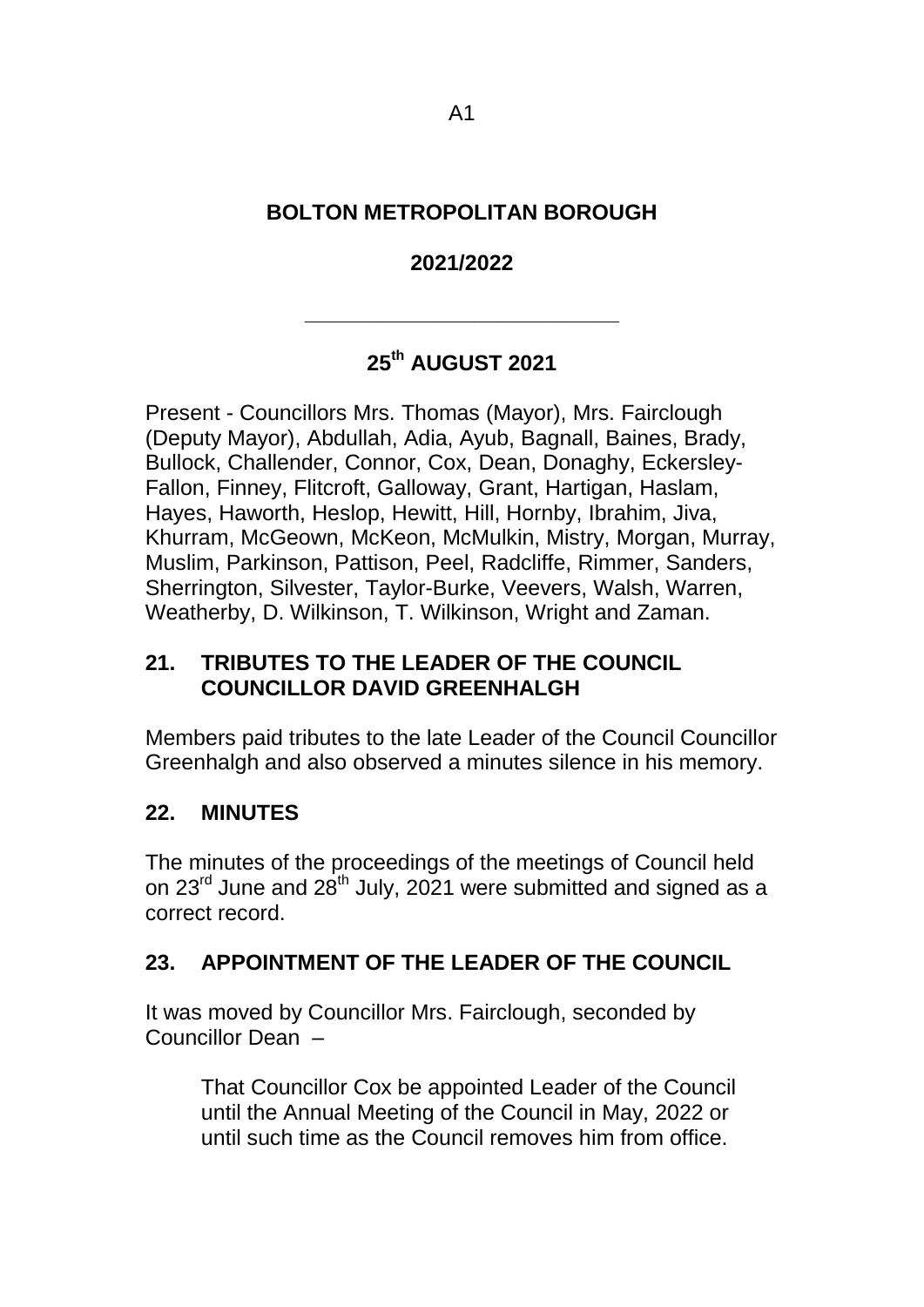## **BOLTON METROPOLITAN BOROUGH**

## **2021/2022**

**\_\_\_\_\_\_\_\_\_\_\_\_\_\_\_\_\_\_\_\_\_\_\_\_\_\_**

# **25th AUGUST 2021**

Present - Councillors Mrs. Thomas (Mayor), Mrs. Fairclough (Deputy Mayor), Abdullah, Adia, Ayub, Bagnall, Baines, Brady, Bullock, Challender, Connor, Cox, Dean, Donaghy, Eckersley-Fallon, Finney, Flitcroft, Galloway, Grant, Hartigan, Haslam, Hayes, Haworth, Heslop, Hewitt, Hill, Hornby, Ibrahim, Jiva, Khurram, McGeown, McKeon, McMulkin, Mistry, Morgan, Murray, Muslim, Parkinson, Pattison, Peel, Radcliffe, Rimmer, Sanders, Sherrington, Silvester, Taylor-Burke, Veevers, Walsh, Warren, Weatherby, D. Wilkinson, T. Wilkinson, Wright and Zaman.

## **21. TRIBUTES TO THE LEADER OF THE COUNCIL COUNCILLOR DAVID GREENHALGH**

Members paid tributes to the late Leader of the Council Councillor Greenhalgh and also observed a minutes silence in his memory.

## **22. MINUTES**

The minutes of the proceedings of the meetings of Council held on  $23^{\text{rd}}$  June and  $28^{\text{th}}$  July, 2021 were submitted and signed as a correct record.

## **23. APPOINTMENT OF THE LEADER OF THE COUNCIL**

It was moved by Councillor Mrs. Fairclough, seconded by Councillor Dean –

That Councillor Cox be appointed Leader of the Council until the Annual Meeting of the Council in May, 2022 or until such time as the Council removes him from office.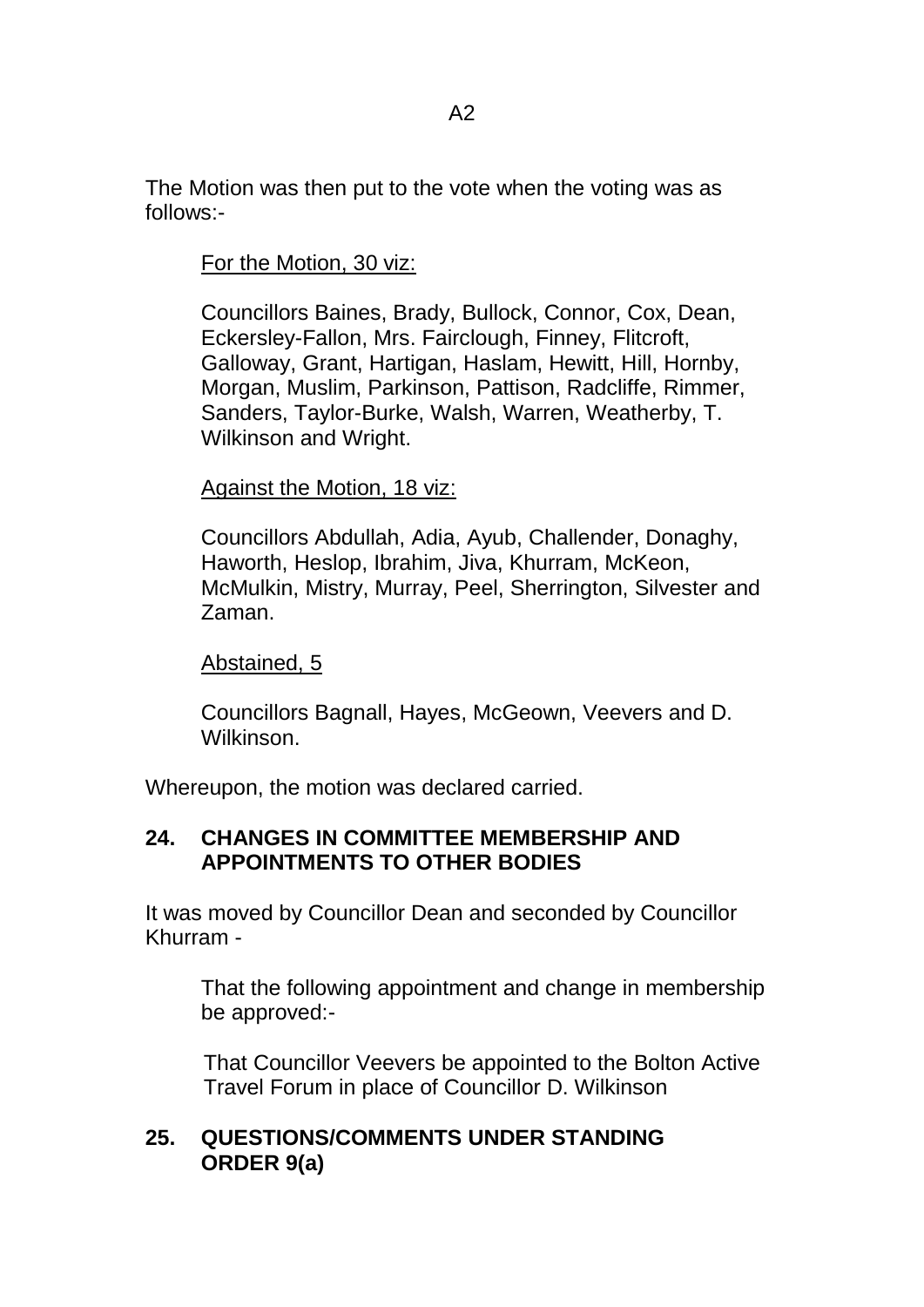The Motion was then put to the vote when the voting was as follows:-

For the Motion, 30 viz:

Councillors Baines, Brady, Bullock, Connor, Cox, Dean, Eckersley-Fallon, Mrs. Fairclough, Finney, Flitcroft, Galloway, Grant, Hartigan, Haslam, Hewitt, Hill, Hornby, Morgan, Muslim, Parkinson, Pattison, Radcliffe, Rimmer, Sanders, Taylor-Burke, Walsh, Warren, Weatherby, T. Wilkinson and Wright.

#### Against the Motion, 18 viz:

Councillors Abdullah, Adia, Ayub, Challender, Donaghy, Haworth, Heslop, Ibrahim, Jiva, Khurram, McKeon, McMulkin, Mistry, Murray, Peel, Sherrington, Silvester and Zaman.

#### Abstained, 5

Councillors Bagnall, Hayes, McGeown, Veevers and D. Wilkinson.

Whereupon, the motion was declared carried.

## **24. CHANGES IN COMMITTEE MEMBERSHIP AND APPOINTMENTS TO OTHER BODIES**

It was moved by Councillor Dean and seconded by Councillor Khurram -

That the following appointment and change in membership be approved:-

That Councillor Veevers be appointed to the Bolton Active Travel Forum in place of Councillor D. Wilkinson

## **25. QUESTIONS/COMMENTS UNDER STANDING ORDER 9(a)**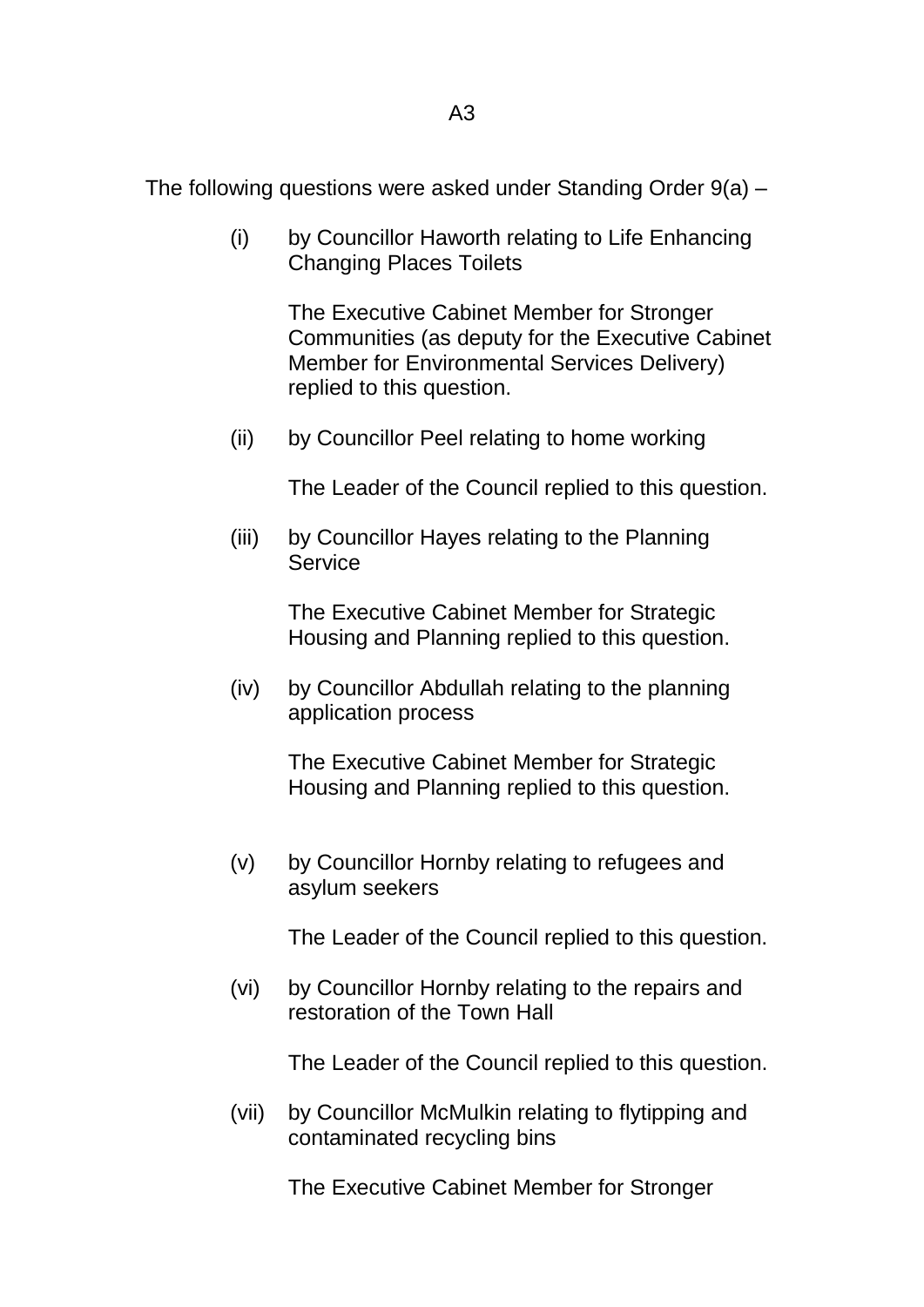The following questions were asked under Standing Order 9(a) –

(i) by Councillor Haworth relating to Life Enhancing Changing Places Toilets

> The Executive Cabinet Member for Stronger Communities (as deputy for the Executive Cabinet Member for Environmental Services Delivery) replied to this question.

(ii) by Councillor Peel relating to home working

The Leader of the Council replied to this question.

(iii) by Councillor Hayes relating to the Planning **Service** 

> The Executive Cabinet Member for Strategic Housing and Planning replied to this question.

(iv) by Councillor Abdullah relating to the planning application process

> The Executive Cabinet Member for Strategic Housing and Planning replied to this question.

(v) by Councillor Hornby relating to refugees and asylum seekers

The Leader of the Council replied to this question.

(vi) by Councillor Hornby relating to the repairs and restoration of the Town Hall

The Leader of the Council replied to this question.

(vii) by Councillor McMulkin relating to flytipping and contaminated recycling bins

The Executive Cabinet Member for Stronger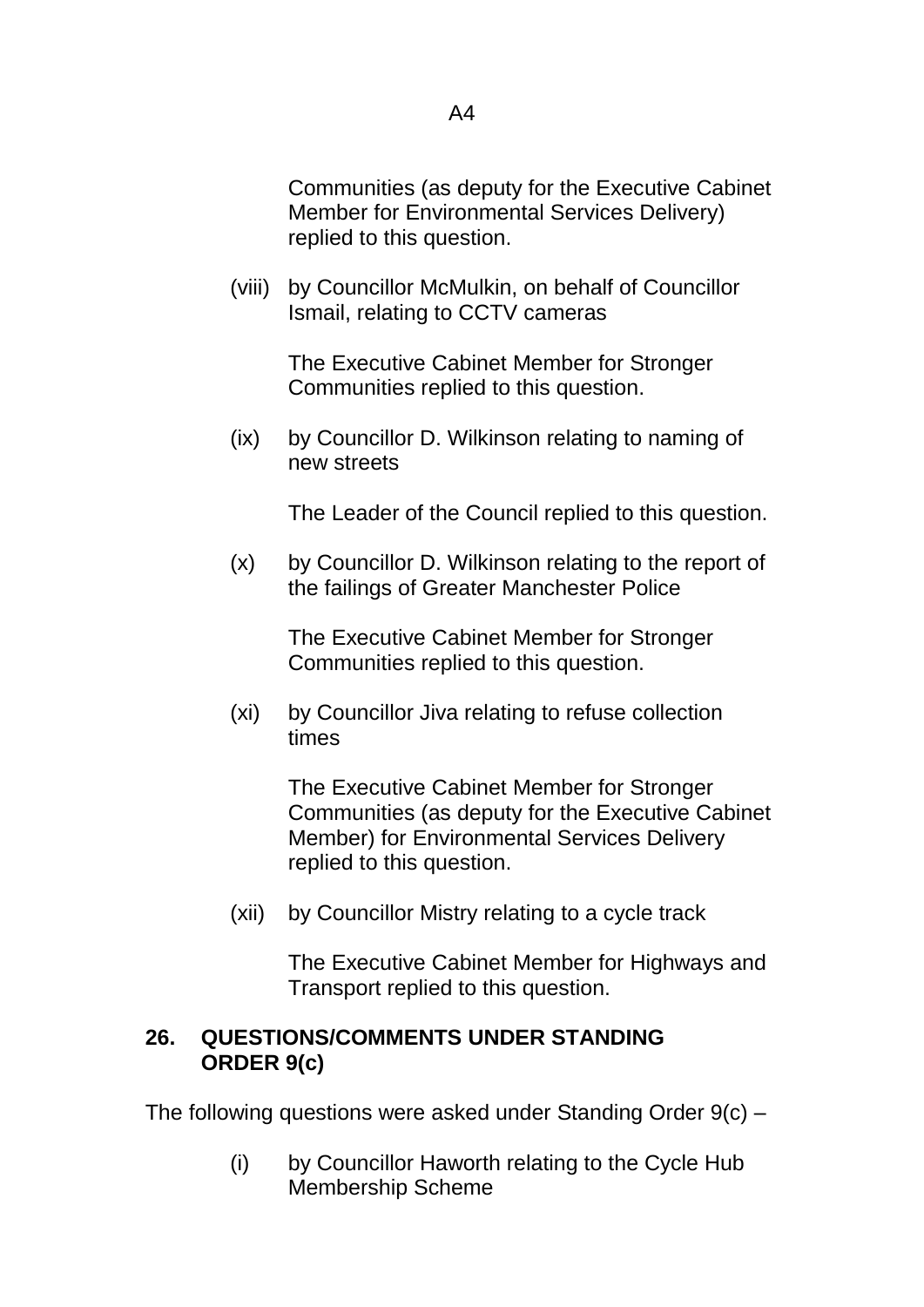(viii) by Councillor McMulkin, on behalf of Councillor Ismail, relating to CCTV cameras

> The Executive Cabinet Member for Stronger Communities replied to this question.

(ix) by Councillor D. Wilkinson relating to naming of new streets

The Leader of the Council replied to this question.

(x) by Councillor D. Wilkinson relating to the report of the failings of Greater Manchester Police

> The Executive Cabinet Member for Stronger Communities replied to this question.

(xi) by Councillor Jiva relating to refuse collection times

> The Executive Cabinet Member for Stronger Communities (as deputy for the Executive Cabinet Member) for Environmental Services Delivery replied to this question.

(xii) by Councillor Mistry relating to a cycle track

The Executive Cabinet Member for Highways and Transport replied to this question.

## **26. QUESTIONS/COMMENTS UNDER STANDING ORDER 9(c)**

The following questions were asked under Standing Order 9(c) –

(i) by Councillor Haworth relating to the Cycle Hub Membership Scheme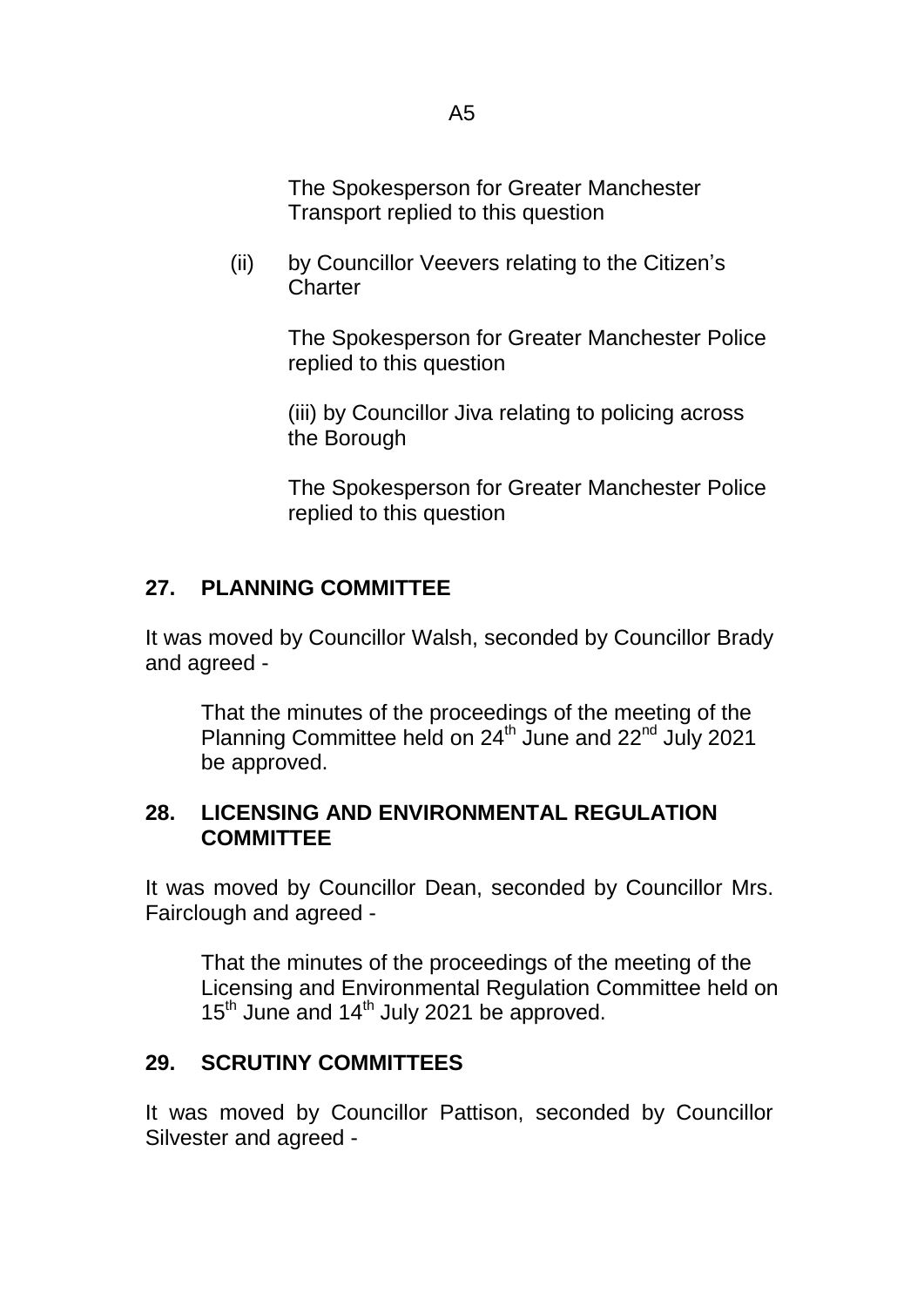The Spokesperson for Greater Manchester Transport replied to this question

(ii) by Councillor Veevers relating to the Citizen's **Charter** 

> The Spokesperson for Greater Manchester Police replied to this question

(iii) by Councillor Jiva relating to policing across the Borough

The Spokesperson for Greater Manchester Police replied to this question

# **27. PLANNING COMMITTEE**

It was moved by Councillor Walsh, seconded by Councillor Brady and agreed -

That the minutes of the proceedings of the meeting of the Planning Committee held on 24<sup>th</sup> June and 22<sup>nd</sup> July 2021 be approved.

## **28. LICENSING AND ENVIRONMENTAL REGULATION COMMITTEE**

It was moved by Councillor Dean, seconded by Councillor Mrs. Fairclough and agreed -

That the minutes of the proceedings of the meeting of the Licensing and Environmental Regulation Committee held on 15<sup>th</sup> June and 14<sup>th</sup> July 2021 be approved.

## **29. SCRUTINY COMMITTEES**

It was moved by Councillor Pattison, seconded by Councillor Silvester and agreed -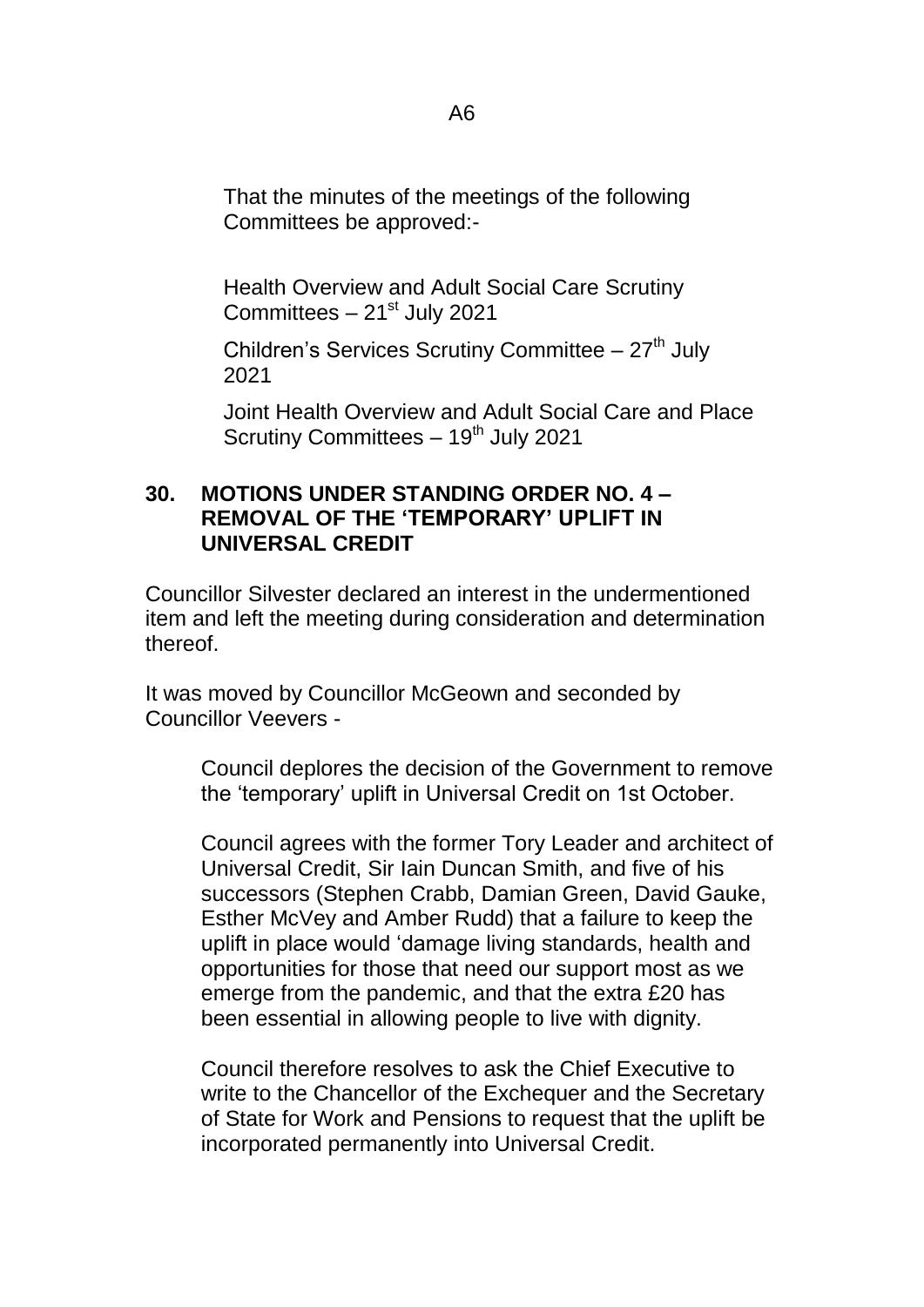That the minutes of the meetings of the following Committees be approved:-

Health Overview and Adult Social Care Scrutiny Committees  $-21<sup>st</sup>$  July 2021

Children's Services Scrutiny Committee  $-27<sup>th</sup>$  July 2021

Joint Health Overview and Adult Social Care and Place Scrutiny Committees  $-19<sup>th</sup>$  July 2021

#### **30. MOTIONS UNDER STANDING ORDER NO. 4 – REMOVAL OF THE 'TEMPORARY' UPLIFT IN UNIVERSAL CREDIT**

Councillor Silvester declared an interest in the undermentioned item and left the meeting during consideration and determination thereof.

It was moved by Councillor McGeown and seconded by Councillor Veevers -

> Council deplores the decision of the Government to remove the 'temporary' uplift in Universal Credit on 1st October.

> Council agrees with the former Tory Leader and architect of Universal Credit, Sir Iain Duncan Smith, and five of his successors (Stephen Crabb, Damian Green, David Gauke, Esther McVey and Amber Rudd) that a failure to keep the uplift in place would 'damage living standards, health and opportunities for those that need our support most as we emerge from the pandemic, and that the extra £20 has been essential in allowing people to live with dignity.

Council therefore resolves to ask the Chief Executive to write to the Chancellor of the Exchequer and the Secretary of State for Work and Pensions to request that the uplift be incorporated permanently into Universal Credit.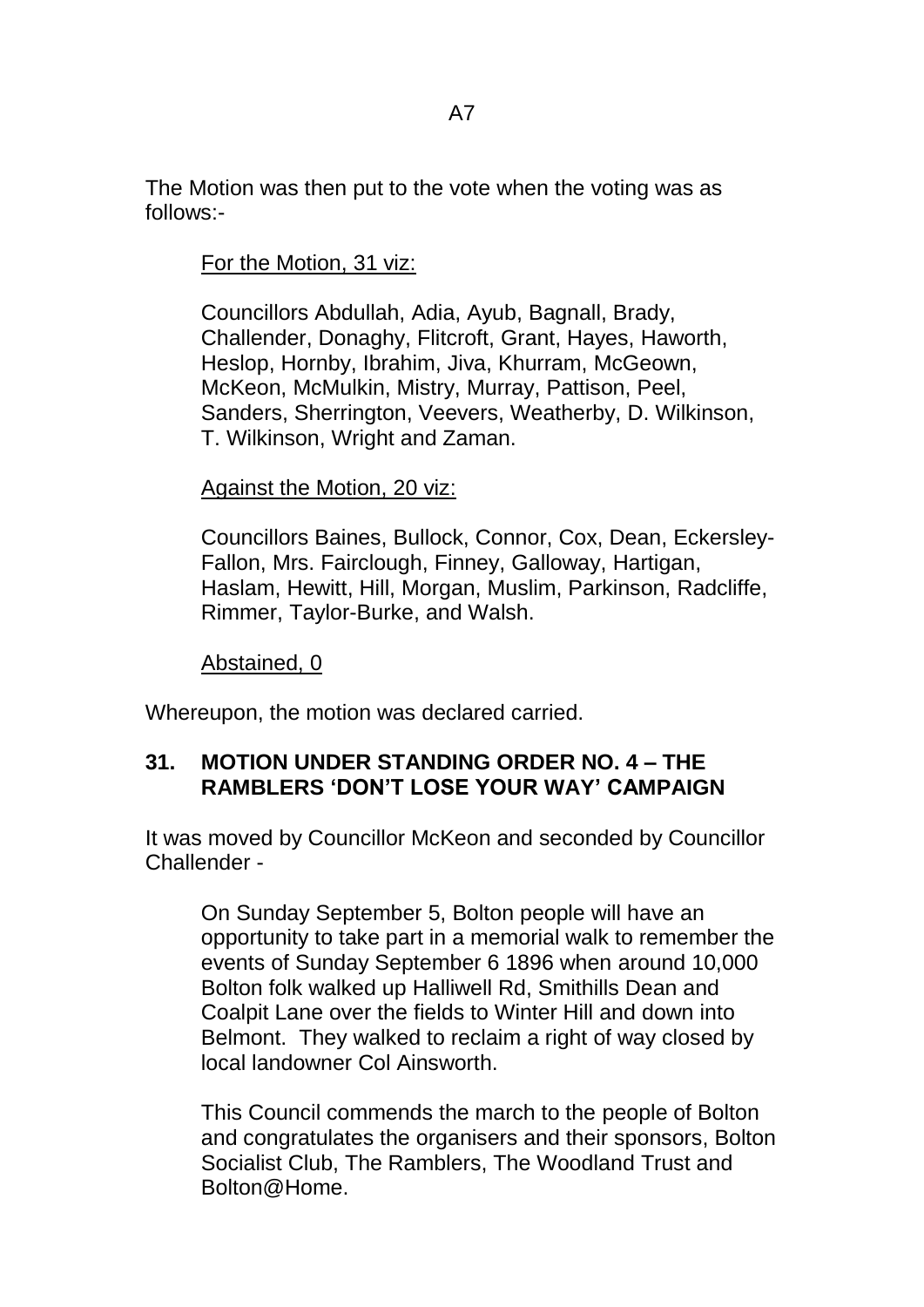The Motion was then put to the vote when the voting was as follows:-

For the Motion, 31 viz:

Councillors Abdullah, Adia, Ayub, Bagnall, Brady, Challender, Donaghy, Flitcroft, Grant, Hayes, Haworth, Heslop, Hornby, Ibrahim, Jiva, Khurram, McGeown, McKeon, McMulkin, Mistry, Murray, Pattison, Peel, Sanders, Sherrington, Veevers, Weatherby, D. Wilkinson, T. Wilkinson, Wright and Zaman.

#### Against the Motion, 20 viz:

Councillors Baines, Bullock, Connor, Cox, Dean, Eckersley-Fallon, Mrs. Fairclough, Finney, Galloway, Hartigan, Haslam, Hewitt, Hill, Morgan, Muslim, Parkinson, Radcliffe, Rimmer, Taylor-Burke, and Walsh.

Abstained, 0

Whereupon, the motion was declared carried.

#### **31. MOTION UNDER STANDING ORDER NO. 4 – THE RAMBLERS 'DON'T LOSE YOUR WAY' CAMPAIGN**

It was moved by Councillor McKeon and seconded by Councillor Challender -

On Sunday September 5, Bolton people will have an opportunity to take part in a memorial walk to remember the events of Sunday September 6 1896 when around 10,000 Bolton folk walked up Halliwell Rd, Smithills Dean and Coalpit Lane over the fields to Winter Hill and down into Belmont. They walked to reclaim a right of way closed by local landowner Col Ainsworth.

This Council commends the march to the people of Bolton and congratulates the organisers and their sponsors, Bolton Socialist Club, The Ramblers, The Woodland Trust and Bolton@Home.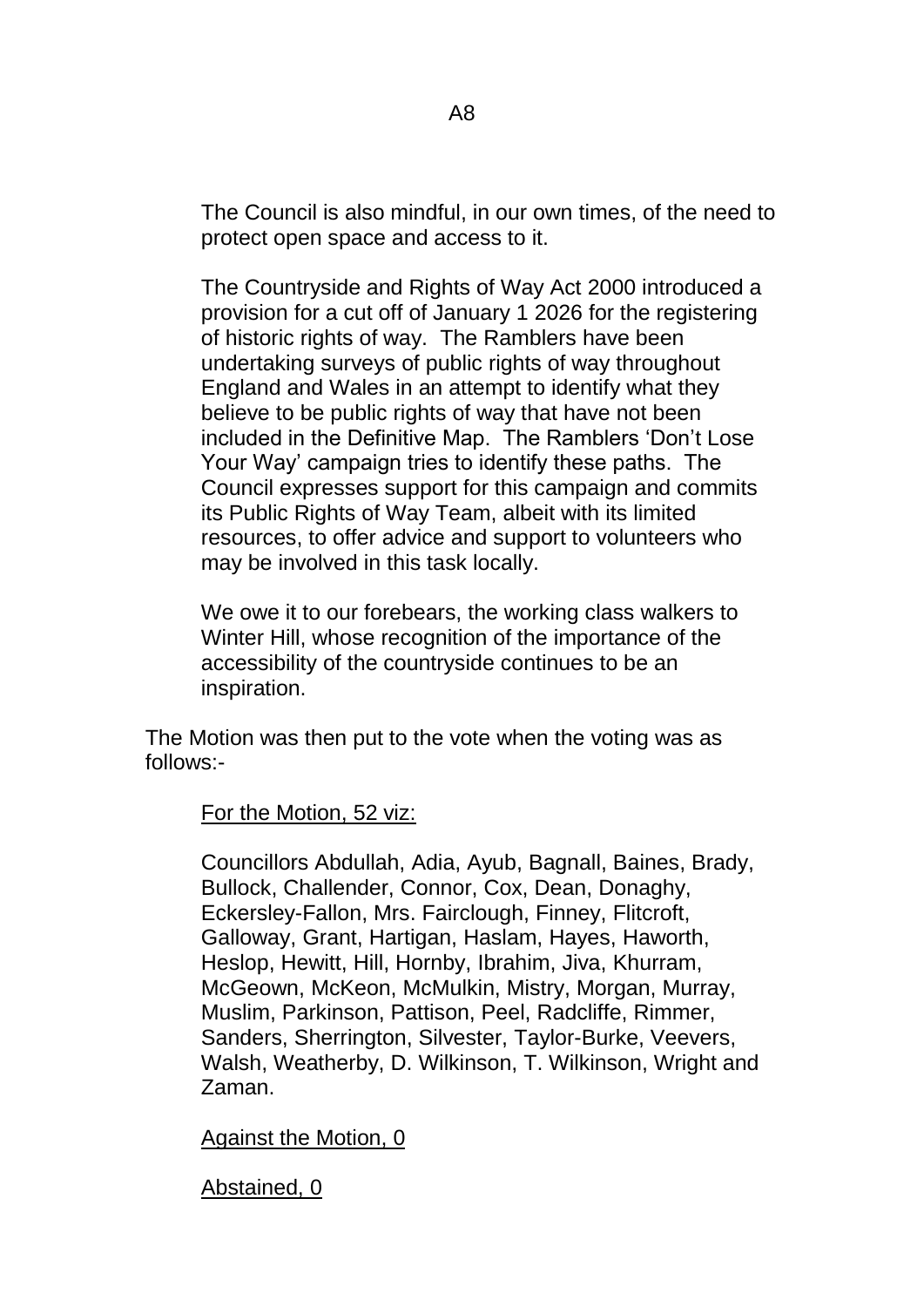The Council is also mindful, in our own times, of the need to protect open space and access to it.

The Countryside and Rights of Way Act 2000 introduced a provision for a cut off of January 1 2026 for the registering of historic rights of way. The Ramblers have been undertaking surveys of public rights of way throughout England and Wales in an attempt to identify what they believe to be public rights of way that have not been included in the Definitive Map. The Ramblers 'Don't Lose Your Way' campaign tries to identify these paths. The Council expresses support for this campaign and commits its Public Rights of Way Team, albeit with its limited resources, to offer advice and support to volunteers who may be involved in this task locally.

We owe it to our forebears, the working class walkers to Winter Hill, whose recognition of the importance of the accessibility of the countryside continues to be an inspiration.

The Motion was then put to the vote when the voting was as follows:-

For the Motion, 52 viz:

Councillors Abdullah, Adia, Ayub, Bagnall, Baines, Brady, Bullock, Challender, Connor, Cox, Dean, Donaghy, Eckersley-Fallon, Mrs. Fairclough, Finney, Flitcroft, Galloway, Grant, Hartigan, Haslam, Hayes, Haworth, Heslop, Hewitt, Hill, Hornby, Ibrahim, Jiva, Khurram, McGeown, McKeon, McMulkin, Mistry, Morgan, Murray, Muslim, Parkinson, Pattison, Peel, Radcliffe, Rimmer, Sanders, Sherrington, Silvester, Taylor-Burke, Veevers, Walsh, Weatherby, D. Wilkinson, T. Wilkinson, Wright and Zaman.

Against the Motion, 0

Abstained, 0